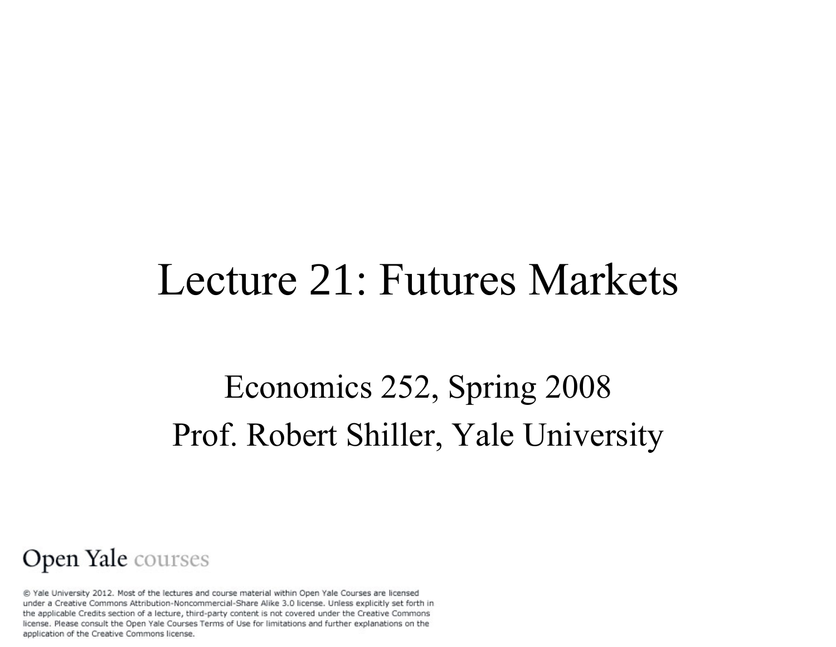### Lecture 21: Futures Markets

### Economics 252, Spring 2008 Prof. Robert Shiller, Yale University

#### Open Yale courses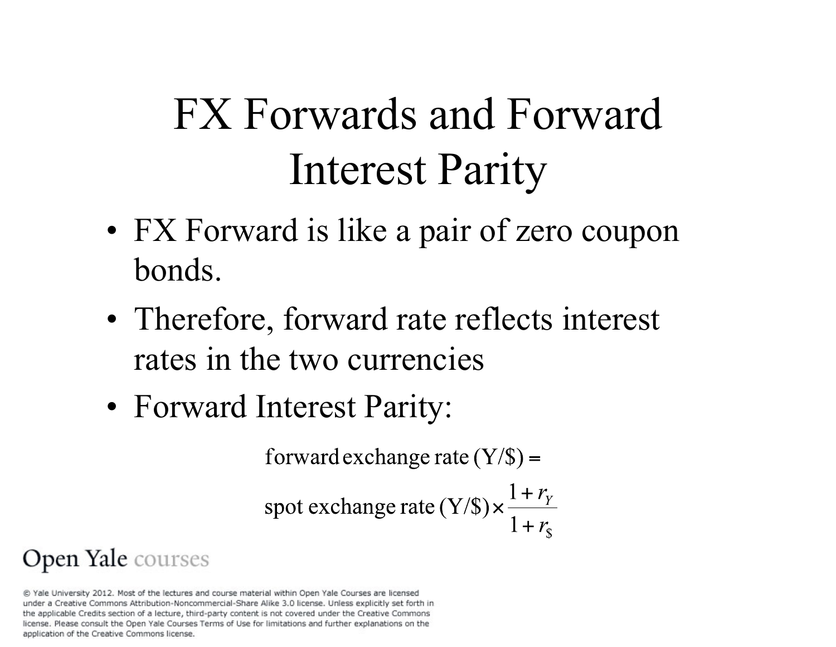# FX Forwards and Forward Interest Parity

- FX Forward is like a pair of zero coupon bonds.
- Therefore, forward rate reflects interest rates in the two currencies
- Forward Interest Parity:

forward exchange rate  $(Y/S)$  =

spot exchange rate 
$$
(Y/\$)\times\frac{1+r_Y}{1+r_s}
$$

### Open Yale courses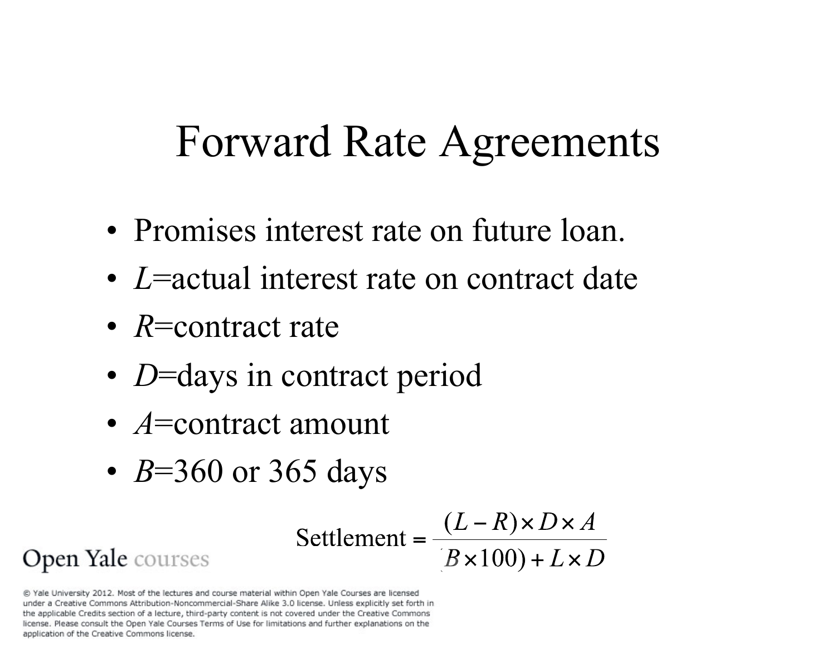## Forward Rate Agreements

- Promises interest rate on future loan.
- *L*=actual interest rate on contract date
- *R*=contract rate
- *D*=days in contract period
- *A*=contract amount
- *B*=360 or 365 days

Settlement =  $\frac{(L-R)\times D\times A}{B\times100)+L\times D}$ 

Open Yale courses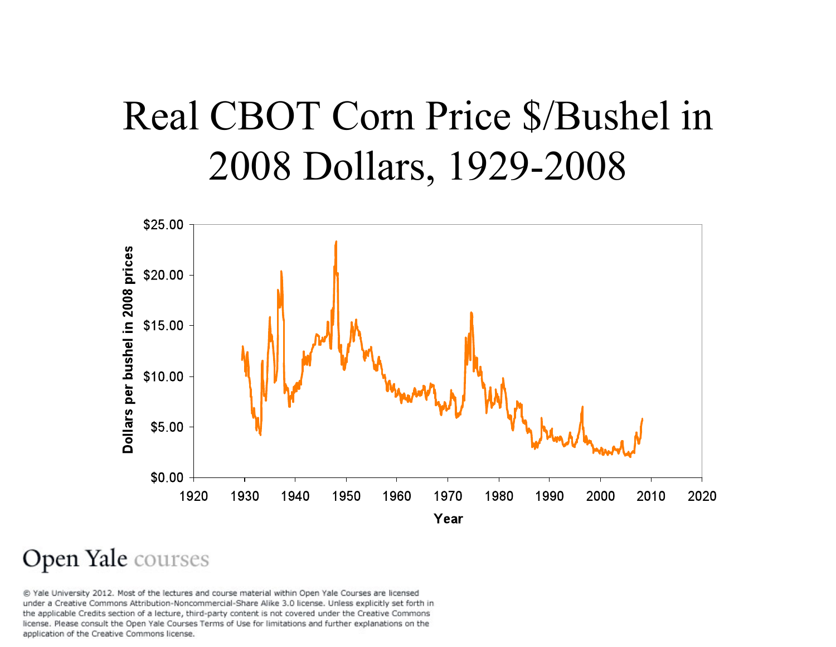### Real CBOT Corn Price \$/Bushel in 2008 Dollars, 1929-2008



#### Open Yale courses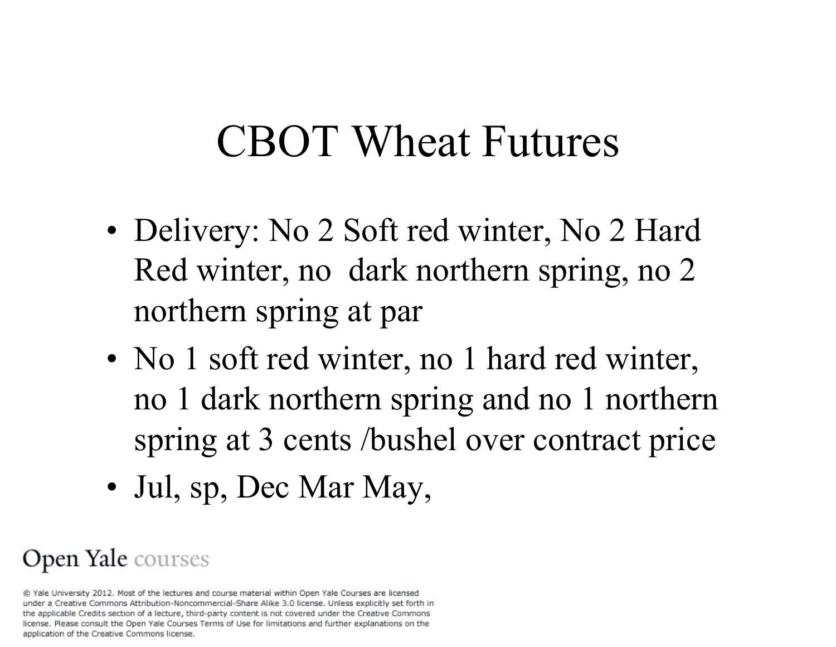## CBOT Wheat Futures

- Delivery: No 2 Soft red winter, No 2 Hard Red winter, no dark northern spring, no 2 northern spring at par
- No 1 soft red winter, no 1 hard red winter, no 1 dark northern spring and no 1 northern spring at 3 cents /bushel over contract price
- Jul, sp, Dec Mar May,

### Open Yale courses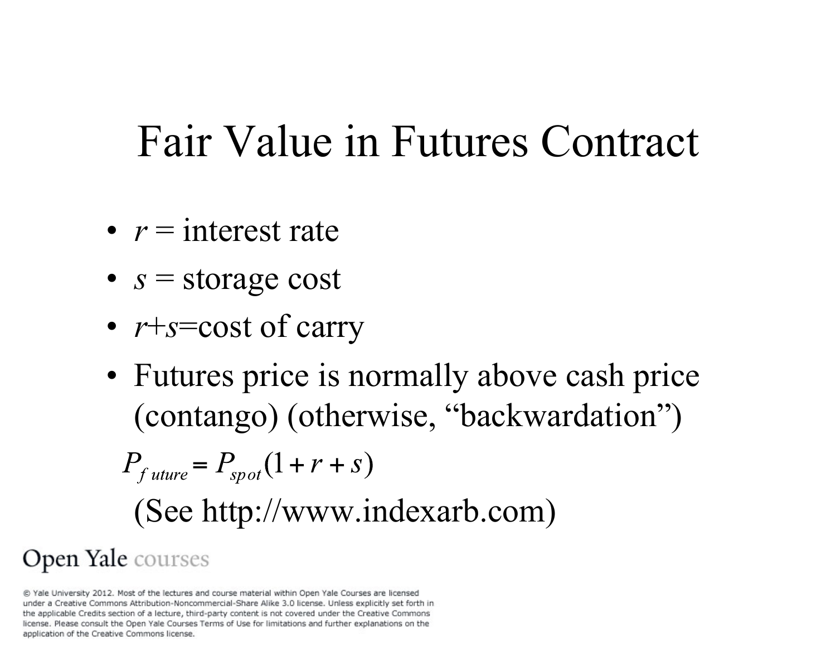### Fair Value in Futures Contract

- $r =$  interest rate
- $s =$  storage cost
- *r*+*s*=cost of carry
- Futures price is normally above cash price (contango) (otherwise, "backwardation")

 $P_{future} = P_{spot}(1 + r + s)$ 

(See http://www.indexarb.com)

### Open Yale courses

<sup>@</sup> Yale University 2012. Most of the lectures and course material within Open Yale Courses are licensed under a Creative Commons Attribution-Noncommercial-Share Alike 3.0 license. Unless explicitly set forth in the applicable Credits section of a lecture, third-party content is not covered under the Creative Commons license. Please consult the Open Yale Courses Terms of Use for limitations and further explanations on the application of the Creative Commons license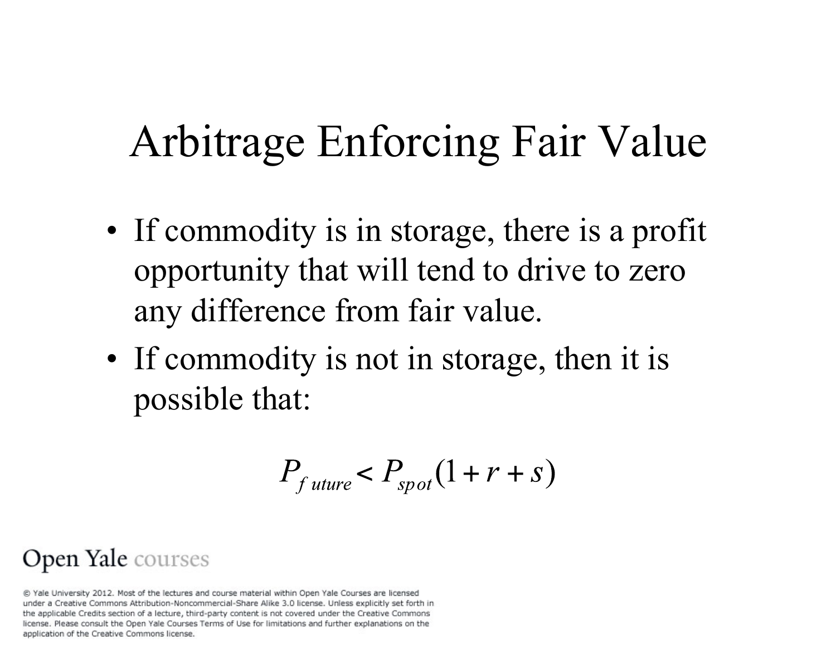## Arbitrage Enforcing Fair Value

- If commodity is in storage, there is a profit opportunity that will tend to drive to zero any difference from fair value.
- If commodity is not in storage, then it is possible that:

$$
P_{future} < P_{spot}(1 + r + s)
$$

#### Open Yale courses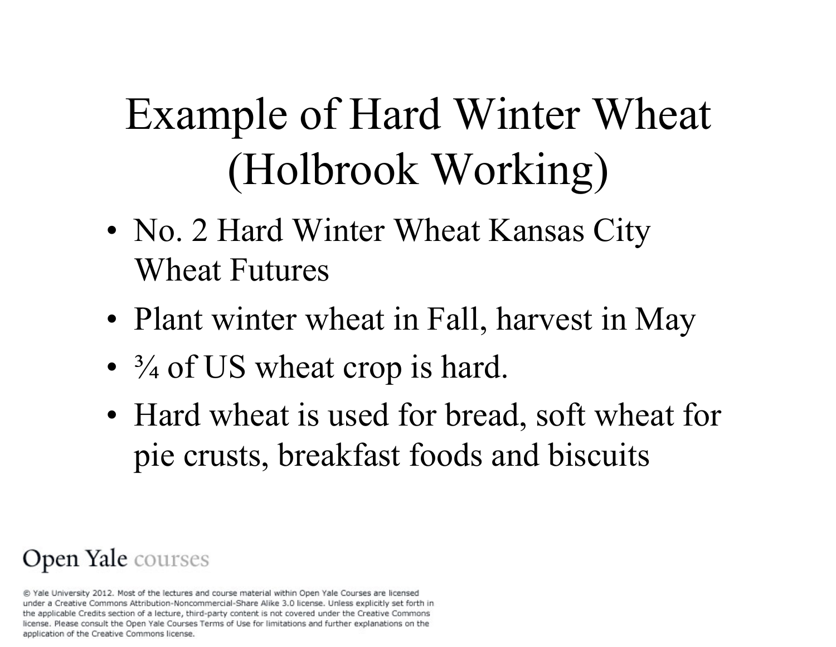# Example of Hard Winter Wheat (Holbrook Working)

- No. 2 Hard Winter Wheat Kansas City Wheat Futures
- Plant winter wheat in Fall, harvest in May
- $\frac{3}{4}$  of US wheat crop is hard.
- Hard wheat is used for bread, soft wheat for pie crusts, breakfast foods and biscuits

### Open Yale courses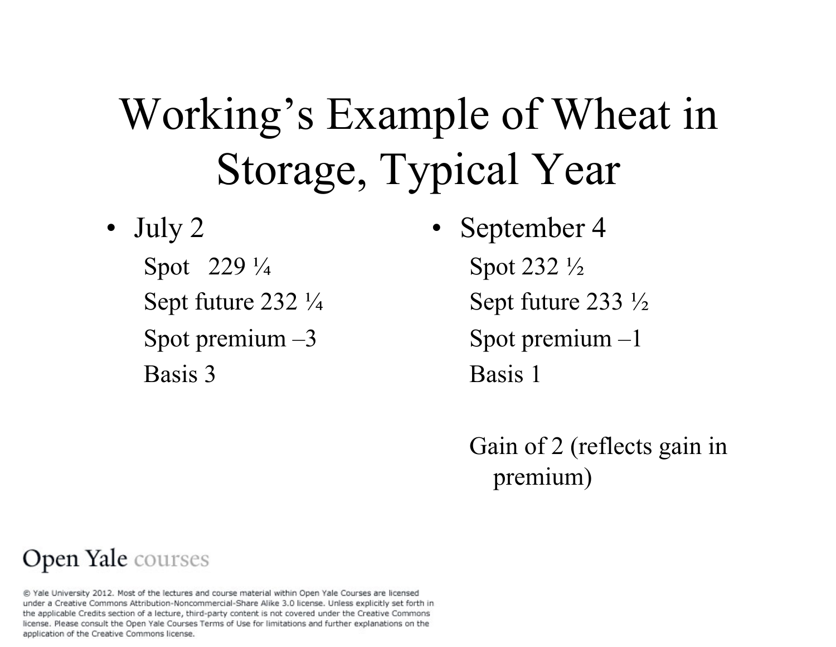# Working's Example of Wheat in Storage, Typical Year

- July 2
	- Spot 229 ¼ Sept future 232 ¼ Spot premium  $-3$ Basis 3

• September 4 Spot 232 ½ Sept future 233 ½ Spot premium –1 Basis 1

> Gain of 2 (reflects gain in premium)

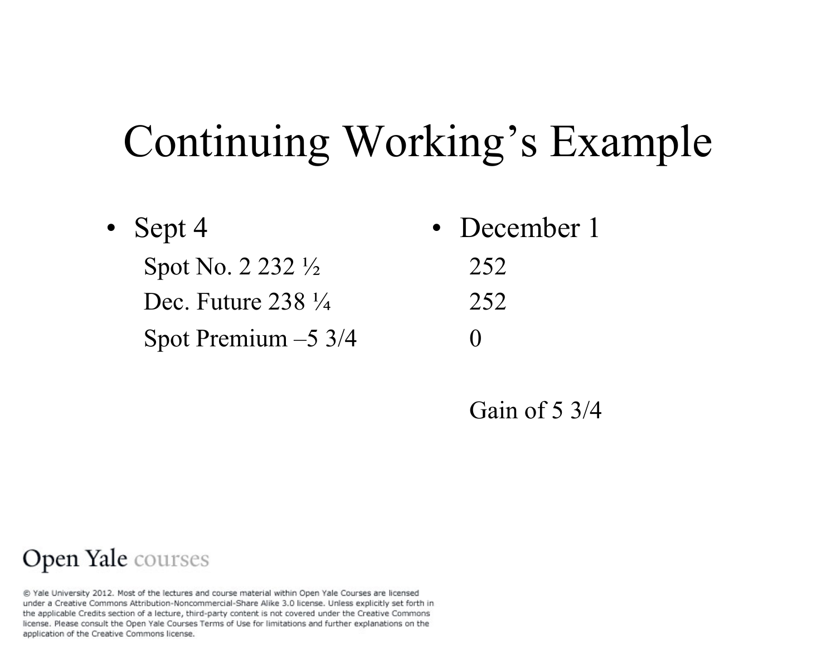# Continuing Working's Example

• Sept 4

- December 1 252 252
- Spot Premium –5 3/4

Spot No. 2 232 ½

Dec. Future 238  $\frac{1}{4}$ 

 $\Omega$ 

Gain of 5 3/4

#### Open Yale courses